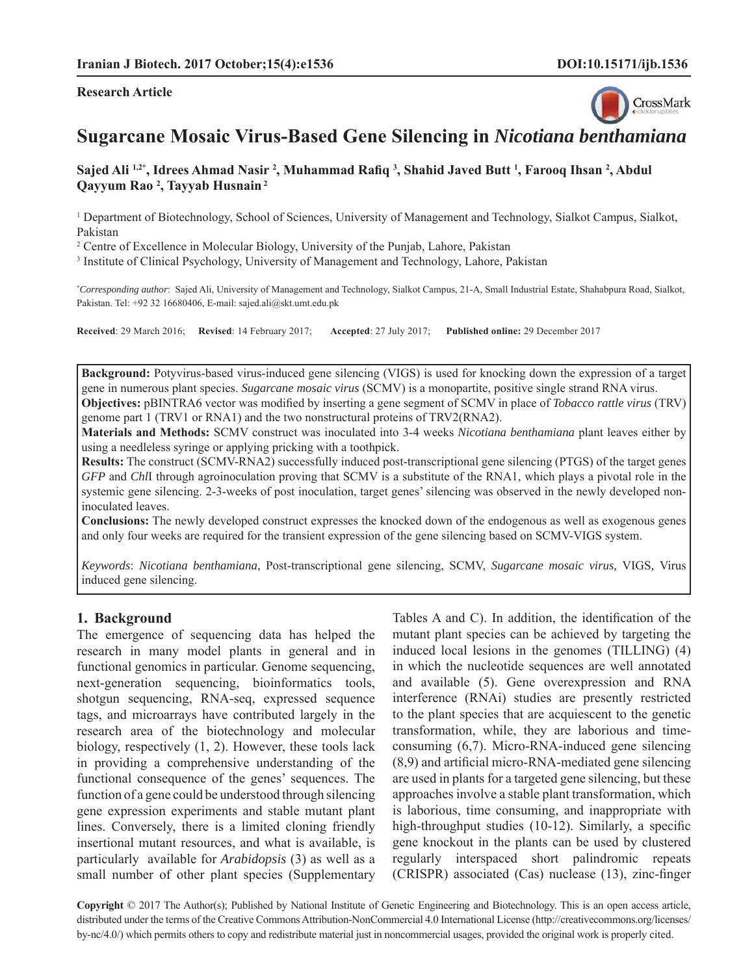#### **Research Article**



# **Sugarcane Mosaic Virus-Based Gene Silencing in** *Nicotiana benthamiana*

Sajed Ali 1,2\*, Idrees Ahmad Nasir <sup>2</sup>, Muhammad Rafiq <sup>3</sup>, Shahid Javed Butt <sup>1</sup>, Farooq Ihsan <sup>2</sup>, Abdul **Qayyum Rao 2 , Tayyab Husnain 2**

<sup>1</sup> Department of Biotechnology, School of Sciences, University of Management and Technology, Sialkot Campus, Sialkot, Pakistan

<sup>2</sup> Centre of Excellence in Molecular Biology, University of the Punjab, Lahore, Pakistan

<sup>3</sup> Institute of Clinical Psychology, University of Management and Technology, Lahore, Pakistan

**\*** *Corresponding author*: Sajed Ali, University of Management and Technology, Sialkot Campus, 21-A, Small Industrial Estate, Shahabpura Road, Sialkot, Pakistan. Tel: +92 32 16680406, E-mail: sajed.ali@skt.umt.edu.pk

**Received**: 29 March 2016; **Revised**: 14 February 2017; **Accepted**: 27 July 2017; **Published online:** 29 December 2017

**Background:** Potyvirus-based virus-induced gene silencing (VIGS) is used for knocking down the expression of a target gene in numerous plant species. *Sugarcane mosaic virus* (SCMV) is a monopartite, positive single strand RNA virus.

**Objectives:** pBINTRA6 vector was modified by inserting a gene segment of SCMV in place of *Tobacco rattle virus* (TRV) genome part 1 (TRV1 or RNA1) and the two nonstructural proteins of TRV2(RNA2).

**Materials and Methods:** SCMV construct was inoculated into 3-4 weeks *Nicotiana benthamiana* plant leaves either by using a needleless syringe or applying pricking with a toothpick.

**Results:** The construct (SCMV-RNA2) successfully induced post-transcriptional gene silencing (PTGS) of the target genes *GFP* and *Chl*I through agroinoculation proving that SCMV is a substitute of the RNA1, which plays a pivotal role in the systemic gene silencing. 2-3-weeks of post inoculation, target genes' silencing was observed in the newly developed noninoculated leaves.

**Conclusions:** The newly developed construct expresses the knocked down of the endogenous as well as exogenous genes and only four weeks are required for the transient expression of the gene silencing based on SCMV-VIGS system.

*Keywords*: *Nicotiana benthamiana*, Post-transcriptional gene silencing, SCMV, *Sugarcane mosaic virus,* VIGS*,* Virus induced gene silencing.

## **1. Background**

The emergence of sequencing data has helped the research in many model plants in general and in functional genomics in particular. Genome sequencing, next-generation sequencing, bioinformatics tools, shotgun sequencing, RNA-seq, expressed sequence tags, and microarrays have contributed largely in the research area of the biotechnology and molecular biology, respectively (1, 2). However, these tools lack in providing a comprehensive understanding of the functional consequence of the genes' sequences. The function of a gene could be understood through silencing gene expression experiments and stable mutant plant lines. Conversely, there is a limited cloning friendly insertional mutant resources, and what is available, is particularly available for *Arabidopsis* (3) as well as a small number of other plant species (Supplementary Tables A and C). In addition, the identification of the mutant plant species can be achieved by targeting the induced local lesions in the genomes (TILLING) (4) in which the nucleotide sequences are well annotated and available (5). Gene overexpression and RNA interference (RNAi) studies are presently restricted to the plant species that are acquiescent to the genetic transformation, while, they are laborious and timeconsuming (6,7). Micro-RNA-induced gene silencing  $(8,9)$  and artificial micro-RNA-mediated gene silencing are used in plants for a targeted gene silencing, but these approaches involve a stable plant transformation, which is laborious, time consuming, and inappropriate with high-throughput studies  $(10-12)$ . Similarly, a specific gene knockout in the plants can be used by clustered regularly interspaced short palindromic repeats  $(CRISPR)$  associated  $(Cas)$  nuclease  $(13)$ , zinc-finger

**Copyright** © 2017 The Author(s); Published by National Institute of Genetic Engineering and Biotechnology. This is an open access article, distributed under the terms of the Creative Commons Attribution-NonCommercial 4.0 International License (http://creativecommons.org/licenses/ by-nc/4.0/) which permits others to copy and redistribute material just in noncommercial usages, provided the original work is properly cited.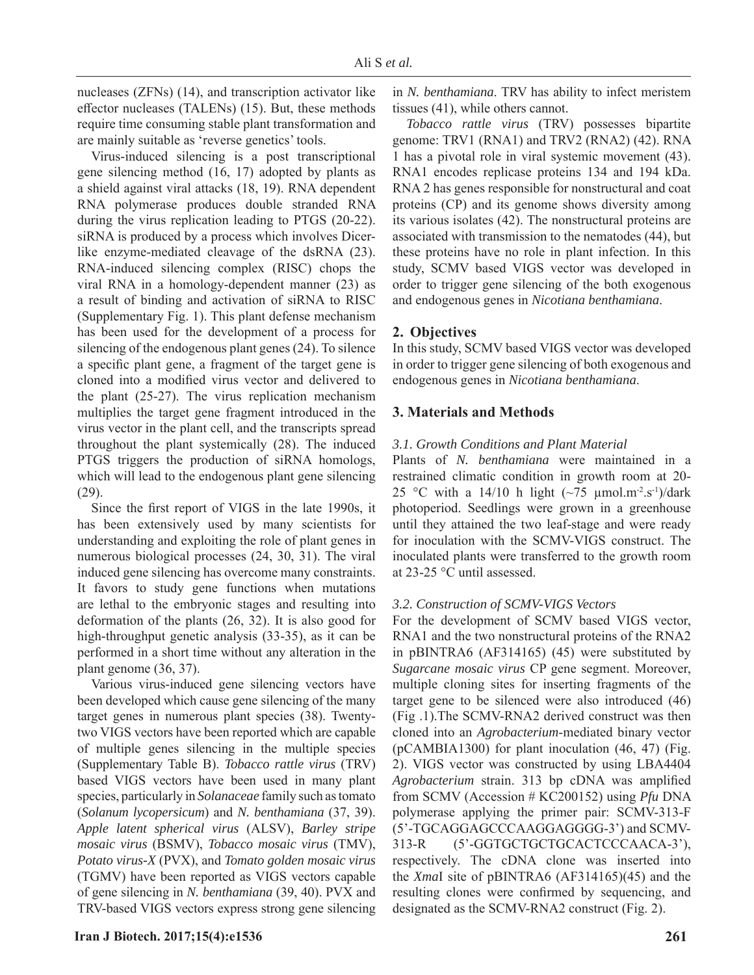nucleases (ZFNs) (14), and transcription activator like effector nucleases (TALENs) (15). But, these methods require time consuming stable plant transformation and are mainly suitable as 'reverse genetics' tools.

Virus-induced silencing is a post transcriptional gene silencing method (16, 17) adopted by plants as a shield against viral attacks (18, 19). RNA dependent RNA polymerase produces double stranded RNA during the virus replication leading to PTGS (20-22). siRNA is produced by a process which involves Dicerlike enzyme-mediated cleavage of the dsRNA (23). RNA-induced silencing complex (RISC) chops the viral RNA in a homology-dependent manner (23) as a result of binding and activation of siRNA to RISC (Supplementary Fig. 1). This plant defense mechanism has been used for the development of a process for silencing of the endogenous plant genes (24). To silence a specific plant gene, a fragment of the target gene is cloned into a modified virus vector and delivered to the plant (25-27). The virus replication mechanism multiplies the target gene fragment introduced in the virus vector in the plant cell, and the transcripts spread throughout the plant systemically (28). The induced PTGS triggers the production of siRNA homologs, which will lead to the endogenous plant gene silencing (29).

Since the first report of VIGS in the late 1990s, it has been extensively used by many scientists for understanding and exploiting the role of plant genes in numerous biological processes (24, 30, 31). The viral induced gene silencing has overcome many constraints. It favors to study gene functions when mutations are lethal to the embryonic stages and resulting into deformation of the plants (26, 32). It is also good for high-throughput genetic analysis (33-35), as it can be performed in a short time without any alteration in the plant genome (36, 37).

Various virus-induced gene silencing vectors have been developed which cause gene silencing of the many target genes in numerous plant species (38). Twentytwo VIGS vectors have been reported which are capable of multiple genes silencing in the multiple species (Supplementary Table B). *Tobacco rattle virus* (TRV) based VIGS vectors have been used in many plant species, particularly in *Solanaceae* family such as tomato (*Solanum lycopersicum*) and *N. benthamiana* (37, 39). *Apple latent spherical virus* (ALSV), *Barley stripe mosaic virus* (BSMV), *Tobacco mosaic virus* (TMV), *Potato virus-X* (PVX), and *Tomato golden mosaic virus*  (TGMV) have been reported as VIGS vectors capable of gene silencing in *N. benthamiana* (39, 40). PVX and TRV-based VIGS vectors express strong gene silencing in *N. benthamiana*. TRV has ability to infect meristem tissues (41), while others cannot.

*Tobacco rattle virus* (TRV) possesses bipartite genome: TRV1 (RNA1) and TRV2 (RNA2) (42). RNA 1 has a pivotal role in viral systemic movement (43). RNA1 encodes replicase proteins 134 and 194 kDa. RNA 2 has genes responsible for nonstructural and coat proteins (CP) and its genome shows diversity among its various isolates (42). The nonstructural proteins are associated with transmission to the nematodes (44), but these proteins have no role in plant infection. In this study, SCMV based VIGS vector was developed in order to trigger gene silencing of the both exogenous and endogenous genes in *Nicotiana benthamiana*.

# **2. Objectives**

In this study, SCMV based VIGS vector was developed in order to trigger gene silencing of both exogenous and endogenous genes in *Nicotiana benthamiana*.

# **3. Materials and Methods**

# *3.1. Growth Conditions and Plant Material*

 Plants of *N. benthamiana* were maintained in a restrained climatic condition in growth room at 20- 25 °C with a 14/10 h light  $(\sim 75 \text{ \mu mol.m}^2 \cdot \text{s}^{-1})/\text{dark}$ photoperiod. Seedlings were grown in a greenhouse until they attained the two leaf-stage and were ready for inoculation with the SCMV-VIGS construct. The inoculated plants were transferred to the growth room at 23-25 °C until assessed.

## *3.2. Construction of SCMV-VIGS Vectors*

For the development of SCMV based VIGS vector, RNA1 and the two nonstructural proteins of the RNA2 in pBINTRA6 (AF314165) (45) were substituted by *Sugarcane mosaic virus* CP gene segment. Moreover, multiple cloning sites for inserting fragments of the target gene to be silenced were also introduced (46) (Fig .1).The SCMV-RNA2 derived construct was then cloned into an *Agrobacterium*-mediated binary vector (pCAMBIA1300) for plant inoculation (46, 47) (Fig. 2). VIGS vector was constructed by using LBA4404 *Agrobacterium* strain. 313 bp cDNA was amplified from SCMV (Accession # KC200152) using *Pfu* DNA polymerase applying the primer pair: SCMV-313-F (5'-TGCAGGAGCCCAAGGAGGGG-3') and SCMV-313-R (5'-GGTGCTGCTGCACTCCCAACA-3'), respectively. The cDNA clone was inserted into the *Xma*I site of pBINTRA6 (AF314165)(45) and the resulting clones were confirmed by sequencing, and designated as the SCMV-RNA2 construct (Fig. 2).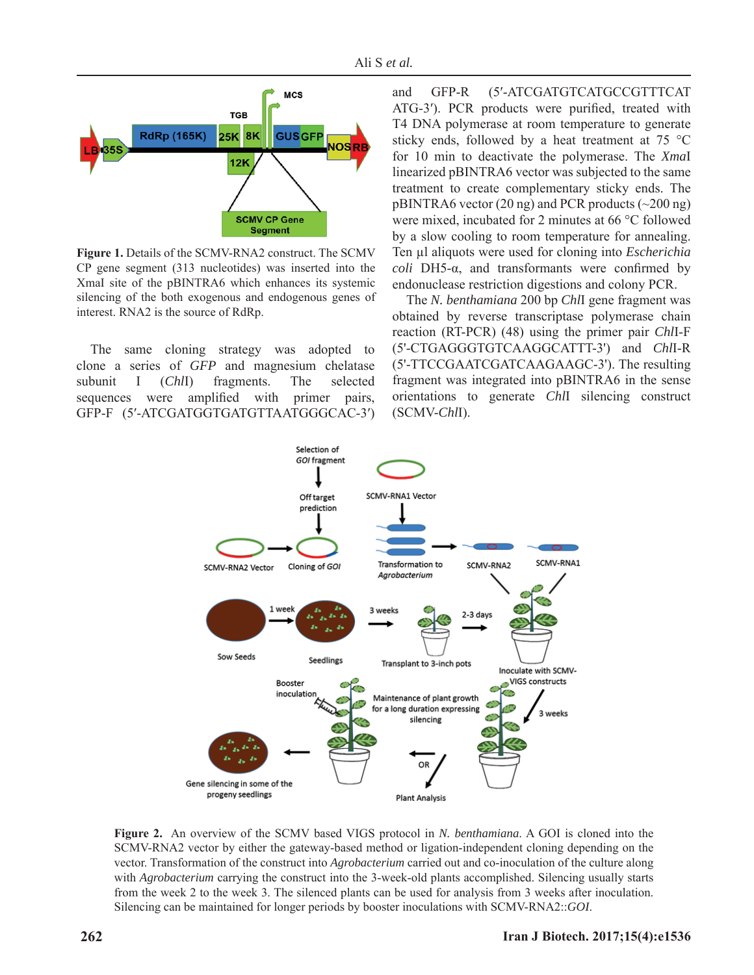

**Figure 1.** Details of the SCMV-RNA2 construct. The SCMV CP gene segment (313 nucleotides) was inserted into the XmaI site of the pBINTRA6 which enhances its systemic silencing of the both exogenous and endogenous genes of interest. RNA2 is the source of RdRp.

The same cloning strategy was adopted to clone a series of *GFP* and magnesium chelatase subunit I (*Chl*I) fragments. The selected sequences were amplified with primer pairs, GFP-F (5′-ATCGATGGTGATGTTAATGGGCAC-3′) and GFP-R (5′-ATCGATGTCATGCCGTTTCAT ATG-3'). PCR products were purified, treated with T4 DNA polymerase at room temperature to generate sticky ends, followed by a heat treatment at 75 °C for 10 min to deactivate the polymerase. The *Xma*I linearized pBINTRA6 vector was subjected to the same treatment to create complementary sticky ends. The  $pBINTRA6$  vector (20 ng) and PCR products ( $\sim$ 200 ng) were mixed, incubated for 2 minutes at 66 °C followed by a slow cooling to room temperature for annealing. Ten μl aliquots were used for cloning into *Escherichia coli* DH5- $\alpha$ , and transformants were confirmed by endonuclease restriction digestions and colony PCR.

 The *N. benthamiana* 200 bp *Chl*I gene fragment was obtained by reverse transcriptase polymerase chain reaction (RT-PCR) (48) using the primer pair *Chl*I-F (5'-CTGAGGGTGTCAAGGCATTT-3') and *Chl*I-R (5'-TTCCGAATCGATCAAGAAGC-3'). The resulting fragment was integrated into pBINTRA6 in the sense orientations to generate *Chl*I silencing construct (SCMV-*Chl*I).



**Figure 2.** An overview of the SCMV based VIGS protocol in *N. benthamiana*. A GOI is cloned into the SCMV-RNA2 vector by either the gateway-based method or ligation-independent cloning depending on the vector. Transformation of the construct into *Agrobacterium* carried out and co-inoculation of the culture along with *Agrobacterium* carrying the construct into the 3-week-old plants accomplished. Silencing usually starts from the week 2 to the week 3. The silenced plants can be used for analysis from 3 weeks after inoculation. Silencing can be maintained for longer periods by booster inoculations with SCMV-RNA2::*GOI*.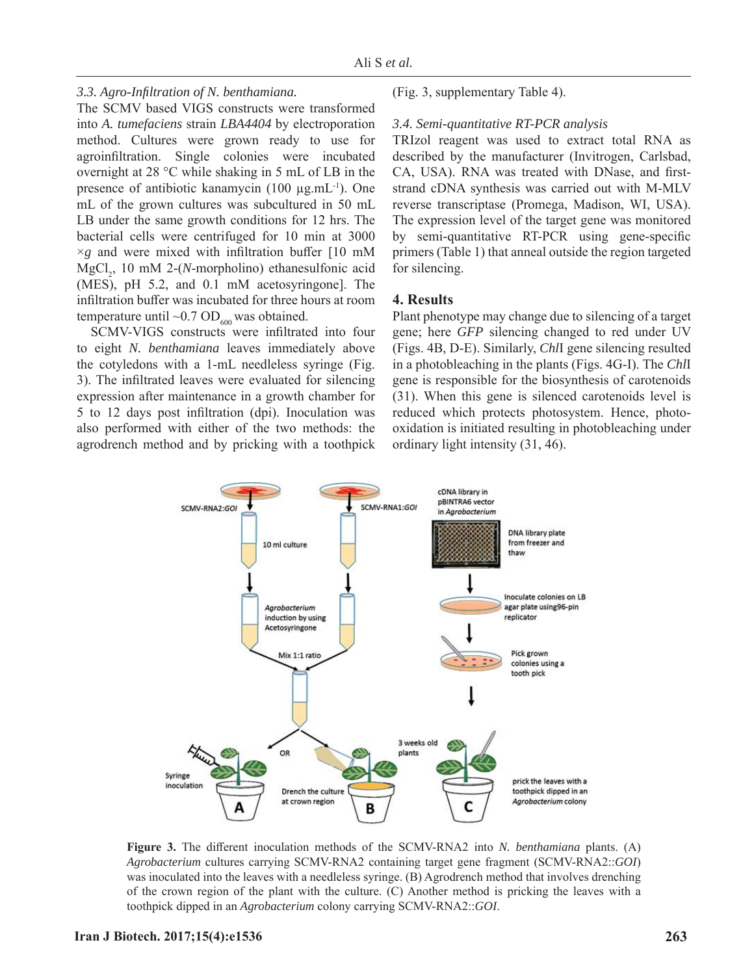## *3.3. Agro-Infi ltration of N. benthamiana .*

The SCMV based VIGS constructs were transformed into *A. tumefaciens* strain *LBA4404* by electroporation method. Cultures were grown ready to use for agroinfiltration. Single colonies were incubated overnight at 28 °C while shaking in 5 mL of LB in the presence of antibiotic kanamycin (100 μg.mL-1). One mL of the grown cultures was subcultured in 50 mL LB under the same growth conditions for 12 hrs. The bacterial cells were centrifuged for 10 min at 3000  $\times$ *g* and were mixed with infiltration buffer [10 mM MgCl<sub>2</sub>, 10 mM 2-(*N*-morpholino) ethanesulfonic acid (MES), pH 5.2, and 0.1 mM acetosyringone]. The infiltration buffer was incubated for three hours at room temperature until  $\sim 0.7$  OD<sub>600</sub> was obtained.

SCMV-VIGS constructs were infiltrated into four to eight *N. benthamiana* leaves immediately above the cotyledons with a 1-mL needleless syringe (Fig. 3). The infiltrated leaves were evaluated for silencing expression after maintenance in a growth chamber for 5 to 12 days post infiltration (dpi). Inoculation was also performed with either of the two methods: the agrodrench method and by pricking with a toothpick (Fig. 3, supplementary Table 4).

#### *3.4. Semi-quantitative RT-PCR analysis*

TRIzol reagent was used to extract total RNA as described by the manufacturer (Invitrogen, Carlsbad, CA, USA). RNA was treated with DNase, and firststrand cDNA synthesis was carried out with M-MLV reverse transcriptase (Promega, Madison, WI, USA). The expression level of the target gene was monitored by semi-quantitative RT-PCR using gene-specific primers (Table 1) that anneal outside the region targeted for silencing.

# **4. Results**

Plant phenotype may change due to silencing of a target gene; here *GFP* silencing changed to red under UV (Figs. 4B, D-E). Similarly, *Chl*I gene silencing resulted in a photobleaching in the plants (Figs. 4G-I). The *Chl*I gene is responsible for the biosynthesis of carotenoids (31). When this gene is silenced carotenoids level is reduced which protects photosystem. Hence, photooxidation is initiated resulting in photobleaching under ordinary light intensity (31, 46).



**Figure 3.** The different inoculation methods of the SCMV-RNA2 into *N. benthamiana* plants. (A) *Agrobacterium* cultures carrying SCMV-RNA2 containing target gene fragment (SCMV-RNA2::*GOI*) was inoculated into the leaves with a needleless syringe. (B) Agrodrench method that involves drenching of the crown region of the plant with the culture. (C) Another method is pricking the leaves with a toothpick dipped in an *Agrobacterium* colony carrying SCMV-RNA2::*GOI*.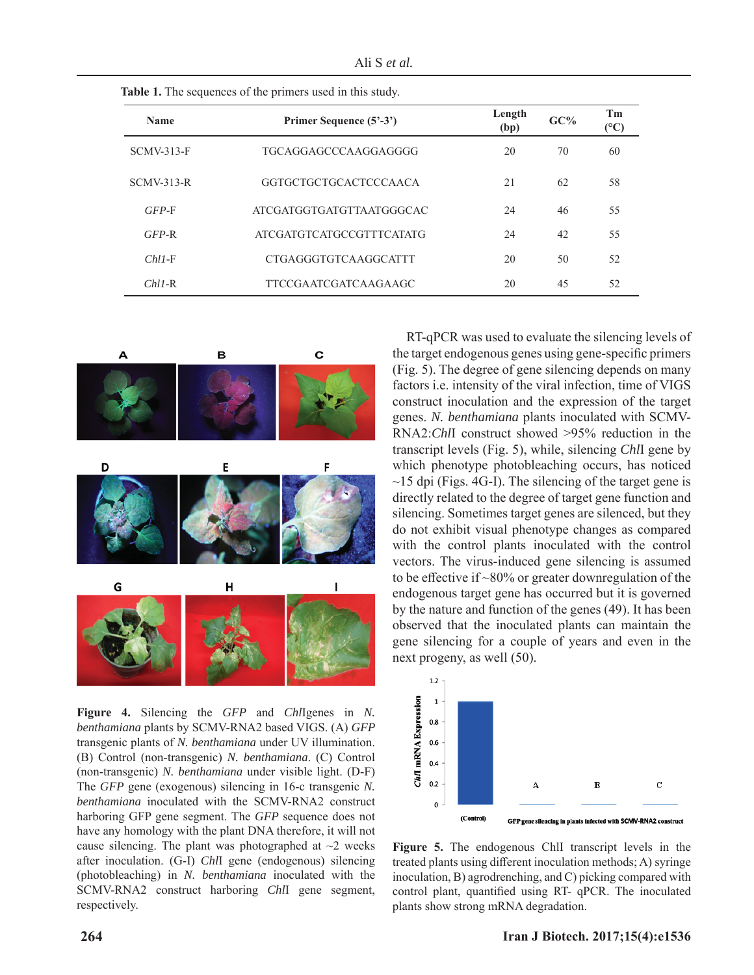Ali S *et al.*

| <b>Name</b>       | Primer Sequence (5'-3')         | Length<br>(bp) | GC% | Tm<br>$\rm ^{(°C)}$ |
|-------------------|---------------------------------|----------------|-----|---------------------|
| <b>SCMV-313-F</b> | TGCAGGAGCCCAAGGAGGGG            | 20             | 70  | 60                  |
| $SCMV-313-R$      | <b>GGTGCTGCTGCACTCCCAACA</b>    | 2.1            | 62  | 58                  |
| $GFP-F$           | ATCGATGGTGATGTTA ATGGGCAC       | 24             | 46  | 55                  |
| $GFP-R$           | <b>ATCGATGTCATGCCGTTTCATATG</b> | 24             | 42  | 55                  |
| $ChII-F$          | CTGAGGGTGTCAAGGCATTT            | 20             | 50  | 52                  |
| $ChII-R$          | <b>TTCCGAATCGATCAAGAAGC</b>     | 20             | 45  | 52                  |

 **Table 1.** The sequences of the primers used in this study.



**Figure 4.** Silencing the *GFP* and *Chl*Igenes in *N. benthamiana* plants by SCMV-RNA2 based VIGS. (A) *GFP*  transgenic plants of *N. benthamiana* under UV illumination. (B) Control (non-transgenic) *N. benthamiana*. (C) Control (non-transgenic) *N. benthamiana* under visible light. (D-F) The *GFP* gene (exogenous) silencing in 16-c transgenic *N. benthamiana* inoculated with the SCMV-RNA2 construct harboring GFP gene segment. The *GFP* sequence does not have any homology with the plant DNA therefore, it will not cause silencing. The plant was photographed at  $\sim$ 2 weeks after inoculation. (G-I) *Chl*I gene (endogenous) silencing (photobleaching) in *N. benthamiana* inoculated with the SCMV-RNA2 construct harboring *Chl*I gene segment, respectively.

RT-qPCR was used to evaluate the silencing levels of the target endogenous genes using gene-specific primers (Fig. 5). The degree of gene silencing depends on many factors i.e. intensity of the viral infection, time of VIGS construct inoculation and the expression of the target genes. *N. benthamiana* plants inoculated with SCMV-RNA2:*Chl*I construct showed >95% reduction in the transcript levels (Fig. 5), while, silencing *Chl*I gene by which phenotype photobleaching occurs, has noticed  $\sim$ 15 dpi (Figs. 4G-I). The silencing of the target gene is directly related to the degree of target gene function and silencing. Sometimes target genes are silenced, but they do not exhibit visual phenotype changes as compared with the control plants inoculated with the control vectors. The virus-induced gene silencing is assumed to be effective if  $\sim 80\%$  or greater downregulation of the endogenous target gene has occurred but it is governed by the nature and function of the genes (49). It has been observed that the inoculated plants can maintain the gene silencing for a couple of years and even in the next progeny, as well (50).



**Figure 5.** The endogenous ChlI transcript levels in the treated plants using different inoculation methods; A) syringe inoculation, B) agrodrenching, and C) picking compared with control plant, quantified using RT- qPCR. The inoculated plants show strong mRNA degradation.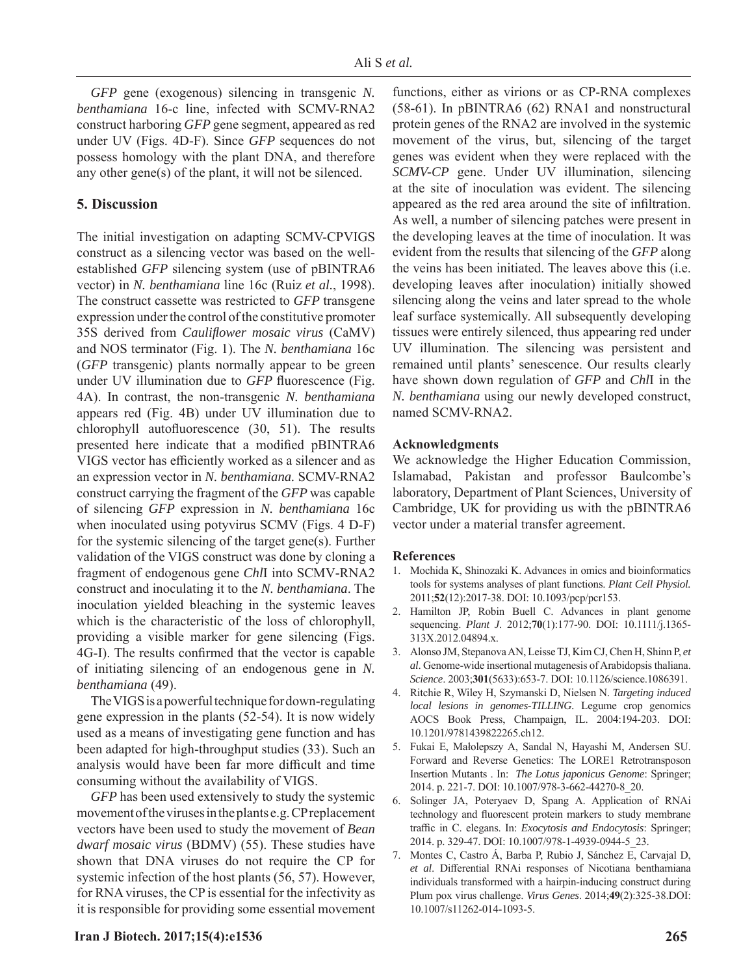*GFP* gene (exogenous) silencing in transgenic *N. benthamiana* 16-c line, infected with SCMV-RNA2 construct harboring *GFP* gene segment, appeared as red under UV (Figs. 4D-F). Since *GFP* sequences do not possess homology with the plant DNA, and therefore any other gene(s) of the plant, it will not be silenced.

# **5. Discussion**

The initial investigation on adapting SCMV-CPVIGS construct as a silencing vector was based on the wellestablished *GFP* silencing system (use of pBINTRA6 vector) in *N. benthamiana* line 16c (Ruiz *et al.*, 1998). The construct cassette was restricted to *GFP* transgene expression under the control of the constitutive promoter 35S derived from *Caulifl ower mosaic virus* (CaMV) and NOS terminator (Fig. 1). The *N. benthamiana* 16c (*GFP* transgenic) plants normally appear to be green under UV illumination due to *GFP* fluorescence (Fig. 4A). In contrast, the non-transgenic *N. benthamiana*  appears red (Fig. 4B) under UV illumination due to chlorophyll autofluorescence  $(30, 51)$ . The results presented here indicate that a modified pBINTRA6 VIGS vector has efficiently worked as a silencer and as an expression vector in *N. benthamiana.* SCMV-RNA2 construct carrying the fragment of the *GFP* was capable of silencing *GFP* expression in *N. benthamiana* 16c when inoculated using potyvirus SCMV (Figs. 4 D-F) for the systemic silencing of the target gene(s). Further validation of the VIGS construct was done by cloning a fragment of endogenous gene *Chl*I into SCMV*-*RNA2 construct and inoculating it to the *N. benthamiana*. The inoculation yielded bleaching in the systemic leaves which is the characteristic of the loss of chlorophyll, providing a visible marker for gene silencing (Figs. 4G-I). The results confirmed that the vector is capable of initiating silencing of an endogenous gene in *N. benthamiana* (49).

The VIGS is a powerful technique for down-regulating gene expression in the plants (52-54). It is now widely used as a means of investigating gene function and has been adapted for high-throughput studies (33). Such an analysis would have been far more difficult and time consuming without the availability of VIGS.

*GFP* has been used extensively to study the systemic movement of the viruses in the plants e.g. CP replacement vectors have been used to study the movement of *Bean dwarf mosaic virus* (BDMV) (55). These studies have shown that DNA viruses do not require the CP for systemic infection of the host plants (56, 57). However, for RNA viruses, the CP is essential for the infectivity as it is responsible for providing some essential movement functions, either as virions or as CP-RNA complexes (58-61). In pBINTRA6 (62) RNA1 and nonstructural protein genes of the RNA2 are involved in the systemic movement of the virus, but, silencing of the target genes was evident when they were replaced with the *SCMV-CP* gene. Under UV illumination, silencing at the site of inoculation was evident. The silencing appeared as the red area around the site of infiltration. As well, a number of silencing patches were present in the developing leaves at the time of inoculation. It was evident from the results that silencing of the *GFP* along the veins has been initiated. The leaves above this (i.e. developing leaves after inoculation) initially showed silencing along the veins and later spread to the whole leaf surface systemically. All subsequently developing tissues were entirely silenced, thus appearing red under UV illumination. The silencing was persistent and remained until plants' senescence. Our results clearly have shown down regulation of *GFP* and *Chl*I in the *N. benthamiana* using our newly developed construct, named SCMV-RNA2.

#### **Acknowledgments**

We acknowledge the Higher Education Commission, Islamabad, Pakistan and professor Baulcombe's laboratory, Department of Plant Sciences, University of Cambridge, UK for providing us with the pBINTRA6 vector under a material transfer agreement.

#### **References**

- 1. Mochida K, Shinozaki K. Advances in omics and bioinformatics tools for systems analyses of plant functions. *Plant Cell Physiol.* 2011;**52**(12):2017-38. DOI: 10.1093/pcp/pcr153.
- Hamilton JP, Robin Buell C. Advances in plant genome sequencing. *Plant J*. 2012;**70**(1):177-90. DOI: 10.1111/j.1365- 313X.2012.04894.x.
- 3. Alonso JM, Stepanova AN, Leisse TJ, Kim CJ, Chen H, Shinn P, *et al*. Genome-wide insertional mutagenesis of Arabidopsis thaliana. *Science*. 2003;**301**(5633):653-7. DOI: 10.1126/science.1086391.
- 4. Ritchie R, Wiley H, Szymanski D, Nielsen N. *Targeting induced local lesions in genomes-TILLING.* Legume crop genomics AOCS Book Press, Champaign, IL. 2004:194-203. DOI: 10.1201/9781439822265.ch12.
- 5. Fukai E, Małolepszy A, Sandal N, Hayashi M, Andersen SU. Forward and Reverse Genetics: The LORE1 Retrotransposon Insertion Mutants . In: *The Lotus japonicus Genome*: Springer; 2014. p. 221-7. DOI: 10.1007/978-3-662-44270-8\_20.
- 6. Solinger JA, Poteryaev D, Spang A. Application of RNAi technology and fluorescent protein markers to study membrane traffic in C. elegans. In: *Exocytosis and Endocytosis*: Springer; 2014. p. 329-47. DOI: 10.1007/978-1-4939-0944-5\_23.
- 7. Montes C, Castro Á, Barba P, Rubio J, Sánchez E, Carvajal D, et al. Differential RNAi responses of Nicotiana benthamiana individuals transformed with a hairpin-inducing construct during Plum pox virus challenge. *Virus Genes*. 2014;**49**(2):325-38.DOI: 10.1007/s11262-014-1093-5.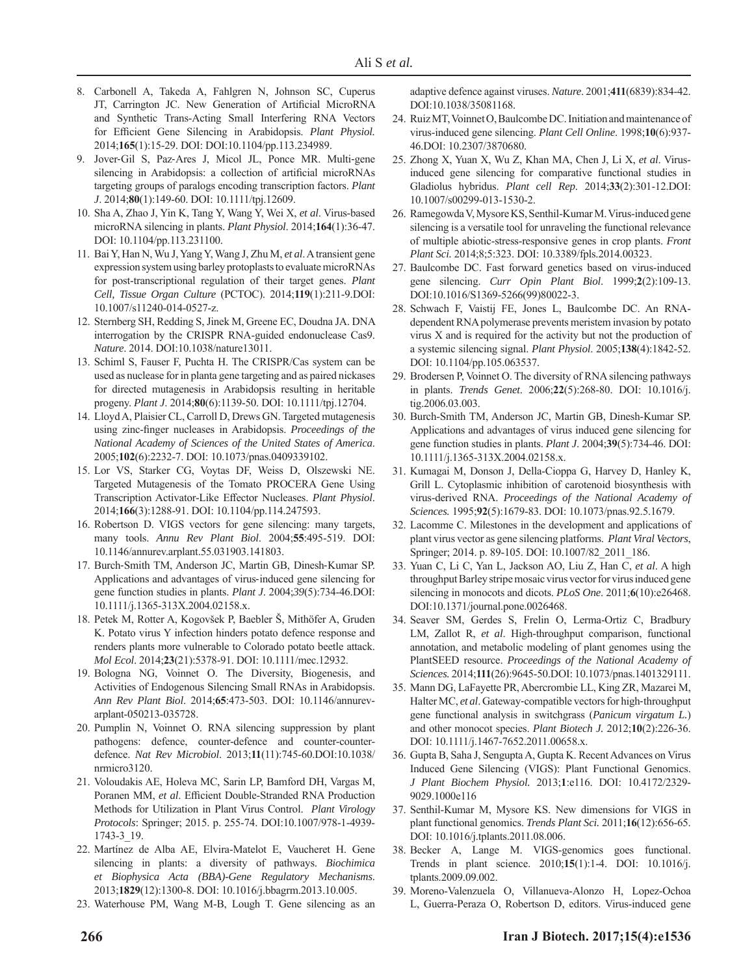- 8. Carbonell A, Takeda A, Fahlgren N, Johnson SC, Cuperus JT, Carrington JC. New Generation of Artificial MicroRNA and Synthetic Trans-Acting Small Interfering RNA Vectors for Efficient Gene Silencing in Arabidopsis. *Plant Physiol.* 2014;165(1):15-29. DOI: DOI:10.1104/pp.113.234989.
- 9. Jover-Gil S, Paz-Ares J, Micol JL, Ponce MR. Multi-gene silencing in Arabidopsis: a collection of artificial microRNAs targeting groups of paralogs encoding transcription factors. *Plant J*. 2014;**80**(1):149-60. DOI: 10.1111/tpj.12609.
- 10. Sha A, Zhao J, Yin K, Tang Y, Wang Y, Wei X, et al. Virus-based microRNA silencing in plants. *Plant Physiol*. 2014;**164**(1):36-47. DOI: 10.1104/pp.113.231100.
- 11. Bai Y, Han N, Wu J, Yang Y, Wang J, Zhu M, *et al*. A transient gene expression system using barley protoplasts to evaluate microRNAs for post-transcriptional regulation of their target genes. *Plant Cell, Tissue Organ Culture* (PCTOC). 2014;**119**(1):211-9.DOI: 10.1007/s11240-014-0527-z.
- 12. Sternberg SH, Redding S, Jinek M, Greene EC, Doudna JA. DNA interrogation by the CRISPR RNA-guided endonuclease Cas9. *Nature*. 2014. DOI:10.1038/nature13011.
- 13. Schiml S, Fauser F, Puchta H. The CRISPR/Cas system can be used as nuclease for in planta gene targeting and as paired nickases for directed mutagenesis in Arabidopsis resulting in heritable progeny. *Plant J*. 2014;**80**(6):1139-50. DOI: 10.1111/tpj.12704.
- 14. Lloyd A, Plaisier CL, Carroll D, Drews GN. Targeted mutagenesis using zinc-finger nucleases in Arabidopsis. *Proceedings of the National Academy of Sciences of the United States of America*. 2005;**102**(6):2232-7. DOI: 10.1073/pnas.0409339102.
- 15. Lor VS, Starker CG, Voytas DF, Weiss D, Olszewski NE. Targeted Mutagenesis of the Tomato PROCERA Gene Using Transcription Activator-Like Effector Nucleases. *Plant Physiol.* 2014;166(3):1288-91. DOI: 10.1104/pp.114.247593.
- 16. Robertson D. VIGS vectors for gene silencing: many targets, many tools. *Annu Rev Plant Biol*. 2004;**55**:495-519. DOI: 10.1146/annurev.arplant.55.031903.141803.
- 17. Burch-Smith TM, Anderson JC, Martin GB, Dinesh-Kumar SP. Applications and advantages of virus-induced gene silencing for gene function studies in plants. *Plant J*. 2004;*39*(5):734-46.DOI: 10.1111/j.1365-313X.2004.02158.x.
- 18. Petek M, Rotter A, Kogovšek P, Baebler Š, Mithöfer A, Gruden K. Potato virus Y infection hinders potato defence response and renders plants more vulnerable to Colorado potato beetle attack. *Mol Ecol*. 2014;**23**(21):5378-91. DOI: 10.1111/mec.12932.
- 19. Bologna NG, Voinnet O. The Diversity, Biogenesis, and Activities of Endogenous Silencing Small RNAs in Arabidopsis. *Ann Rev Plant Biol*. 2014;**65**:473-503. DOI: 10.1146/annurevarplant-050213-035728.
- 20. Pumplin N, Voinnet O. RNA silencing suppression by plant pathogens: defence, counter-defence and counter-counterdefence. *Nat Rev Microbiol*. 2013;**11**(11):745-60.DOI:10.1038/ nrmicro3120.
- 21. Voloudakis AE, Holeva MC, Sarin LP, Bamford DH, Vargas M, Poranen MM, et al. Efficient Double-Stranded RNA Production Methods for Utilization in Plant Virus Control. *Plant Virology Protocols*: Springer; 2015. p. 255-74. DOI:10.1007/978-1-4939- 1743-3\_19.
- 22. Martínez de Alba AE, Elvira-Matelot E, Vaucheret H. Gene silencing in plants: a diversity of pathways. *Biochimica et Biophysica Acta (BBA)-Gene Regulatory Mechanisms*. 2013;**1829**(12):1300-8. DOI: 10.1016/j.bbagrm.2013.10.005.
- 23. Waterhouse PM, Wang M-B, Lough T. Gene silencing as an

adaptive defence against viruses. *Nature*. 2001;**411**(6839):834-42. DOI:10.1038/35081168.

- 24. Ruiz MT, Voinnet O, Baulcombe DC. Initiation and maintenance of virus-induced gene silencing. *Plant Cell Online*. 1998;**10**(6):937- 46.DOI: 10.2307/3870680.
- 25. Zhong X, Yuan X, Wu Z, Khan MA, Chen J, Li X, et al. Virusinduced gene silencing for comparative functional studies in Gladiolus hybridus. *Plant cell Rep*. 2014;**33**(2):301-12.DOI: 10.1007/s00299-013-1530-2.
- 26. Ramegowda V, Mysore KS, Senthil-Kumar M. Virus-induced gene silencing is a versatile tool for unraveling the functional relevance of multiple abiotic-stress-responsive genes in crop plants. *Front Plant Sci.* 2014;8;5:323. DOI: 10.3389/fpls.2014.00323.
- 27. Baulcombe DC. Fast forward genetics based on virus-induced gene silencing. *Curr Opin Plant Biol*. 1999;**2**(2):109-13. DOI:10.1016/S1369-5266(99)80022-3.
- 28. Schwach F, Vaistij FE, Jones L, Baulcombe DC. An RNAdependent RNA polymerase prevents meristem invasion by potato virus X and is required for the activity but not the production of a systemic silencing signal. *Plant Physiol*. 2005;**138**(4):1842-52. DOI: 10.1104/pp.105.063537.
- 29. Brodersen P, Voinnet O. The diversity of RNA silencing pathways in plants. *Trends Genet*. 2006;**22**(5):268-80. DOI: 10.1016/j. tig.2006.03.003.
- 30. Burch-Smith TM, Anderson JC, Martin GB, Dinesh-Kumar SP. Applications and advantages of virus induced gene silencing for gene function studies in plants. *Plant J*. 2004;**39**(5):734-46. DOI: 10.1111/j.1365-313X.2004.02158.x.
- 31. Kumagai M, Donson J, Della-Cioppa G, Harvey D, Hanley K, Grill L. Cytoplasmic inhibition of carotenoid biosynthesis with virus-derived RNA. *Proceedings of the National Academy of Sciences.* 1995;**92**(5):1679-83. DOI: 10.1073/pnas.92.5.1679.
- 32. Lacomme C. Milestones in the development and applications of plant virus vector as gene silencing platforms. *Plant Viral Vectors*, Springer; 2014. p. 89-105. DOI: 10.1007/82\_2011\_186.
- 33. Yuan C, Li C, Yan L, Jackson AO, Liu Z, Han C, *et al*. A high throughput Barley stripe mosaic virus vector for virus induced gene silencing in monocots and dicots. *PLoS One*. 2011;**6**(10):e26468. DOI:10.1371/journal.pone.0026468.
- 34. Seaver SM, Gerdes S, Frelin O, Lerma-Ortiz C, Bradbury LM, Zallot R, *et al*. High-throughput comparison, functional annotation, and metabolic modeling of plant genomes using the PlantSEED resource. *Proceedings of the National Academy of Sciences.* 2014;**111**(26):9645-50.DOI: 10.1073/pnas.1401329111.
- 35. Mann DG, LaFayette PR, Abercrombie LL, King ZR, Mazarei M, Halter MC, *et al*. Gateway-compatible vectors for high-throughput gene functional analysis in switchgrass (*Panicum virgatum L.*) and other monocot species. *Plant Biotech J.* 2012;**10**(2):226-36. DOI: 10.1111/j.1467-7652.2011.00658.x.
- 36. Gupta B, Saha J, Sengupta A, Gupta K. Recent Advances on Virus Induced Gene Silencing (VIGS): Plant Functional Genomics. *J Plant Biochem Physiol.* 2013;**1**:e116. DOI: 10.4172/2329- 9029.1000e116
- 37. Senthil-Kumar M, Mysore KS. New dimensions for VIGS in plant functional genomics. *Trends Plant Sci.* 2011;**16**(12):656-65. DOI: 10.1016/j.tplants.2011.08.006.
- 38. Becker A, Lange M. VIGS-genomics goes functional. Trends in plant science. 2010;**15**(1):1-4. DOI: 10.1016/j. tplants.2009.09.002.
- 39. Moreno-Valenzuela O, Villanueva-Alonzo H, Lopez-Ochoa L, Guerra-Peraza O, Robertson D, editors. Virus-induced gene